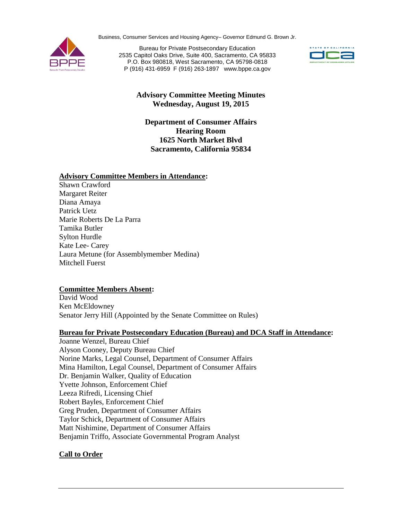Business, Consumer Services and Housing Agency– Governor Edmund G. Brown Jr.



Bureau for Private Postsecondary Education 2535 Capitol Oaks Drive, Suite 400, Sacramento, CA 95833 P.O. Box 980818, West Sacramento, CA 95798-0818 P (916) 431-6959 F (916) 263-1897 www.bppe.ca.gov



# **Advisory Committee Meeting Minutes Wednesday, August 19, 2015**

**Department of Consumer Affairs Hearing Room 1625 North Market Blvd Sacramento, California 95834**

#### **Advisory Committee Members in Attendance:**

Shawn Crawford Margaret Reiter Diana Amaya Patrick Uetz Marie Roberts De La Parra Tamika Butler Sylton Hurdle Kate Lee- Carey Laura Metune (for Assemblymember Medina) Mitchell Fuerst

# **Committee Members Absent:**

David Wood Ken McEldowney Senator Jerry Hill (Appointed by the Senate Committee on Rules)

# **Bureau for Private Postsecondary Education (Bureau) and DCA Staff in Attendance:**

Joanne Wenzel, Bureau Chief Alyson Cooney, Deputy Bureau Chief Norine Marks, Legal Counsel, Department of Consumer Affairs Mina Hamilton, Legal Counsel, Department of Consumer Affairs Dr. Benjamin Walker, Quality of Education Yvette Johnson, Enforcement Chief Leeza Rifredi, Licensing Chief Robert Bayles, Enforcement Chief Greg Pruden, Department of Consumer Affairs Taylor Schick, Department of Consumer Affairs Matt Nishimine, Department of Consumer Affairs Benjamin Triffo, Associate Governmental Program Analyst

# **Call to Order**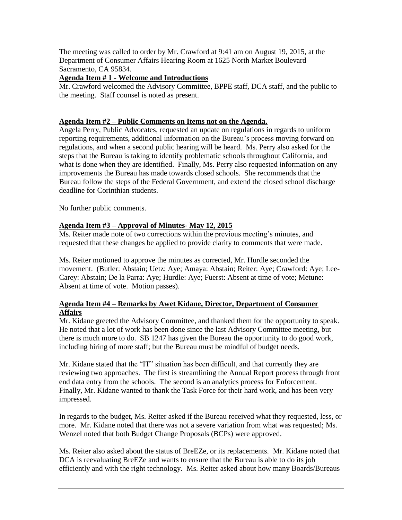The meeting was called to order by Mr. Crawford at 9:41 am on August 19, 2015, at the Department of Consumer Affairs Hearing Room at 1625 North Market Boulevard Sacramento, CA 95834.

### **Agenda Item # 1 - Welcome and Introductions**

Mr. Crawford welcomed the Advisory Committee, BPPE staff, DCA staff, and the public to the meeting. Staff counsel is noted as present.

### **Agenda Item #2 – Public Comments on Items not on the Agenda.**

Angela Perry, Public Advocates, requested an update on regulations in regards to uniform reporting requirements, additional information on the Bureau's process moving forward on regulations, and when a second public hearing will be heard. Ms. Perry also asked for the steps that the Bureau is taking to identify problematic schools throughout California, and what is done when they are identified. Finally, Ms. Perry also requested information on any improvements the Bureau has made towards closed schools. She recommends that the Bureau follow the steps of the Federal Government, and extend the closed school discharge deadline for Corinthian students.

No further public comments.

# **Agenda Item #3 – Approval of Minutes- May 12, 2015**

Ms. Reiter made note of two corrections within the previous meeting's minutes, and requested that these changes be applied to provide clarity to comments that were made.

Ms. Reiter motioned to approve the minutes as corrected, Mr. Hurdle seconded the movement. (Butler: Abstain; Uetz: Aye; Amaya: Abstain; Reiter: Aye; Crawford: Aye; Lee-Carey: Abstain; De la Parra: Aye; Hurdle: Aye; Fuerst: Absent at time of vote; Metune: Absent at time of vote. Motion passes).

#### **Agenda Item #4 – Remarks by Awet Kidane, Director, Department of Consumer Affairs**

Mr. Kidane greeted the Advisory Committee, and thanked them for the opportunity to speak. He noted that a lot of work has been done since the last Advisory Committee meeting, but there is much more to do. SB 1247 has given the Bureau the opportunity to do good work, including hiring of more staff; but the Bureau must be mindful of budget needs.

Mr. Kidane stated that the "IT" situation has been difficult, and that currently they are reviewing two approaches. The first is streamlining the Annual Report process through front end data entry from the schools. The second is an analytics process for Enforcement. Finally, Mr. Kidane wanted to thank the Task Force for their hard work, and has been very impressed.

In regards to the budget, Ms. Reiter asked if the Bureau received what they requested, less, or more. Mr. Kidane noted that there was not a severe variation from what was requested; Ms. Wenzel noted that both Budget Change Proposals (BCPs) were approved.

Ms. Reiter also asked about the status of BreEZe, or its replacements. Mr. Kidane noted that DCA is reevaluating BreEZe and wants to ensure that the Bureau is able to do its job efficiently and with the right technology. Ms. Reiter asked about how many Boards/Bureaus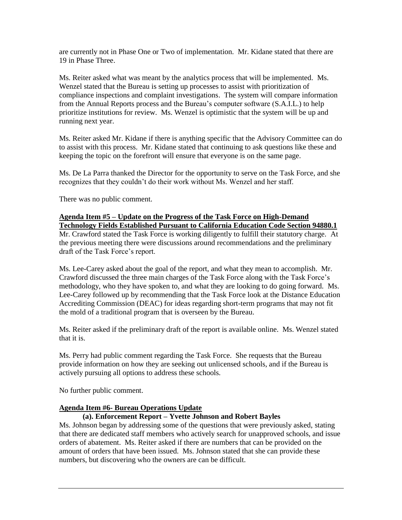are currently not in Phase One or Two of implementation. Mr. Kidane stated that there are 19 in Phase Three.

Ms. Reiter asked what was meant by the analytics process that will be implemented. Ms. Wenzel stated that the Bureau is setting up processes to assist with prioritization of compliance inspections and complaint investigations. The system will compare information from the Annual Reports process and the Bureau's computer software (S.A.I.L.) to help prioritize institutions for review. Ms. Wenzel is optimistic that the system will be up and running next year.

Ms. Reiter asked Mr. Kidane if there is anything specific that the Advisory Committee can do to assist with this process. Mr. Kidane stated that continuing to ask questions like these and keeping the topic on the forefront will ensure that everyone is on the same page.

Ms. De La Parra thanked the Director for the opportunity to serve on the Task Force, and she recognizes that they couldn't do their work without Ms. Wenzel and her staff.

There was no public comment.

#### **Agenda Item #5 – Update on the Progress of the Task Force on High-Demand Technology Fields Established Pursuant to California Education Code Section 94880.1**

Mr. Crawford stated the Task Force is working diligently to fulfill their statutory charge. At the previous meeting there were discussions around recommendations and the preliminary draft of the Task Force's report.

Ms. Lee-Carey asked about the goal of the report, and what they mean to accomplish. Mr. Crawford discussed the three main charges of the Task Force along with the Task Force's methodology, who they have spoken to, and what they are looking to do going forward. Ms. Lee-Carey followed up by recommending that the Task Force look at the Distance Education Accrediting Commission (DEAC) for ideas regarding short-term programs that may not fit the mold of a traditional program that is overseen by the Bureau.

Ms. Reiter asked if the preliminary draft of the report is available online. Ms. Wenzel stated that it is.

Ms. Perry had public comment regarding the Task Force. She requests that the Bureau provide information on how they are seeking out unlicensed schools, and if the Bureau is actively pursuing all options to address these schools.

No further public comment.

# **Agenda Item #6- Bureau Operations Update**

# **(a). Enforcement Report – Yvette Johnson and Robert Bayles**

Ms. Johnson began by addressing some of the questions that were previously asked, stating that there are dedicated staff members who actively search for unapproved schools, and issue orders of abatement. Ms. Reiter asked if there are numbers that can be provided on the amount of orders that have been issued. Ms. Johnson stated that she can provide these numbers, but discovering who the owners are can be difficult.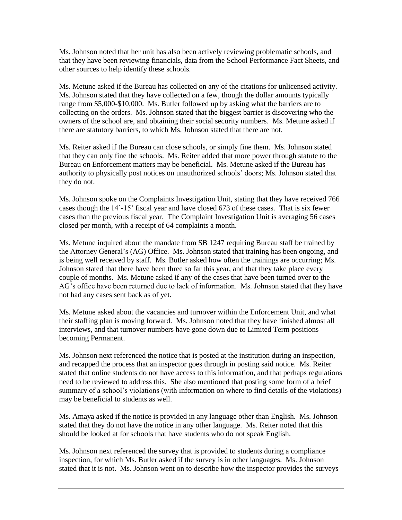Ms. Johnson noted that her unit has also been actively reviewing problematic schools, and that they have been reviewing financials, data from the School Performance Fact Sheets, and other sources to help identify these schools.

Ms. Metune asked if the Bureau has collected on any of the citations for unlicensed activity. Ms. Johnson stated that they have collected on a few, though the dollar amounts typically range from \$5,000-\$10,000. Ms. Butler followed up by asking what the barriers are to collecting on the orders. Ms. Johnson stated that the biggest barrier is discovering who the owners of the school are, and obtaining their social security numbers. Ms. Metune asked if there are statutory barriers, to which Ms. Johnson stated that there are not.

Ms. Reiter asked if the Bureau can close schools, or simply fine them. Ms. Johnson stated that they can only fine the schools. Ms. Reiter added that more power through statute to the Bureau on Enforcement matters may be beneficial. Ms. Metune asked if the Bureau has authority to physically post notices on unauthorized schools' doors; Ms. Johnson stated that they do not.

Ms. Johnson spoke on the Complaints Investigation Unit, stating that they have received 766 cases though the 14'-15' fiscal year and have closed 673 of these cases. That is six fewer cases than the previous fiscal year. The Complaint Investigation Unit is averaging 56 cases closed per month, with a receipt of 64 complaints a month.

Ms. Metune inquired about the mandate from SB 1247 requiring Bureau staff be trained by the Attorney General's (AG) Office. Ms. Johnson stated that training has been ongoing, and is being well received by staff. Ms. Butler asked how often the trainings are occurring; Ms. Johnson stated that there have been three so far this year, and that they take place every couple of months. Ms. Metune asked if any of the cases that have been turned over to the AG's office have been returned due to lack of information. Ms. Johnson stated that they have not had any cases sent back as of yet.

Ms. Metune asked about the vacancies and turnover within the Enforcement Unit, and what their staffing plan is moving forward. Ms. Johnson noted that they have finished almost all interviews, and that turnover numbers have gone down due to Limited Term positions becoming Permanent.

Ms. Johnson next referenced the notice that is posted at the institution during an inspection, and recapped the process that an inspector goes through in posting said notice. Ms. Reiter stated that online students do not have access to this information, and that perhaps regulations need to be reviewed to address this. She also mentioned that posting some form of a brief summary of a school's violations (with information on where to find details of the violations) may be beneficial to students as well.

Ms. Amaya asked if the notice is provided in any language other than English. Ms. Johnson stated that they do not have the notice in any other language. Ms. Reiter noted that this should be looked at for schools that have students who do not speak English.

Ms. Johnson next referenced the survey that is provided to students during a compliance inspection, for which Ms. Butler asked if the survey is in other languages. Ms. Johnson stated that it is not. Ms. Johnson went on to describe how the inspector provides the surveys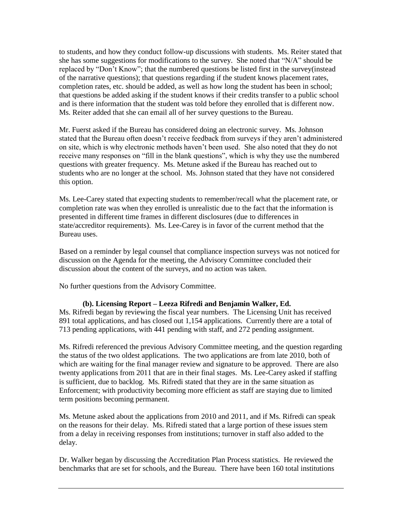to students, and how they conduct follow-up discussions with students. Ms. Reiter stated that she has some suggestions for modifications to the survey. She noted that "N/A" should be replaced by "Don't Know"; that the numbered questions be listed first in the survey(instead of the narrative questions); that questions regarding if the student knows placement rates, completion rates, etc. should be added, as well as how long the student has been in school; that questions be added asking if the student knows if their credits transfer to a public school and is there information that the student was told before they enrolled that is different now. Ms. Reiter added that she can email all of her survey questions to the Bureau.

Mr. Fuerst asked if the Bureau has considered doing an electronic survey. Ms. Johnson stated that the Bureau often doesn't receive feedback from surveys if they aren't administered on site, which is why electronic methods haven't been used. She also noted that they do not receive many responses on "fill in the blank questions", which is why they use the numbered questions with greater frequency. Ms. Metune asked if the Bureau has reached out to students who are no longer at the school. Ms. Johnson stated that they have not considered this option.

Ms. Lee-Carey stated that expecting students to remember/recall what the placement rate, or completion rate was when they enrolled is unrealistic due to the fact that the information is presented in different time frames in different disclosures (due to differences in state/accreditor requirements). Ms. Lee-Carey is in favor of the current method that the Bureau uses.

Based on a reminder by legal counsel that compliance inspection surveys was not noticed for discussion on the Agenda for the meeting, the Advisory Committee concluded their discussion about the content of the surveys, and no action was taken.

No further questions from the Advisory Committee.

#### **(b). Licensing Report – Leeza Rifredi and Benjamin Walker, Ed.**

Ms. Rifredi began by reviewing the fiscal year numbers. The Licensing Unit has received 891 total applications, and has closed out 1,154 applications. Currently there are a total of 713 pending applications, with 441 pending with staff, and 272 pending assignment.

Ms. Rifredi referenced the previous Advisory Committee meeting, and the question regarding the status of the two oldest applications. The two applications are from late 2010, both of which are waiting for the final manager review and signature to be approved. There are also twenty applications from 2011 that are in their final stages. Ms. Lee-Carey asked if staffing is sufficient, due to backlog. Ms. Rifredi stated that they are in the same situation as Enforcement; with productivity becoming more efficient as staff are staying due to limited term positions becoming permanent.

Ms. Metune asked about the applications from 2010 and 2011, and if Ms. Rifredi can speak on the reasons for their delay. Ms. Rifredi stated that a large portion of these issues stem from a delay in receiving responses from institutions; turnover in staff also added to the delay.

Dr. Walker began by discussing the Accreditation Plan Process statistics. He reviewed the benchmarks that are set for schools, and the Bureau. There have been 160 total institutions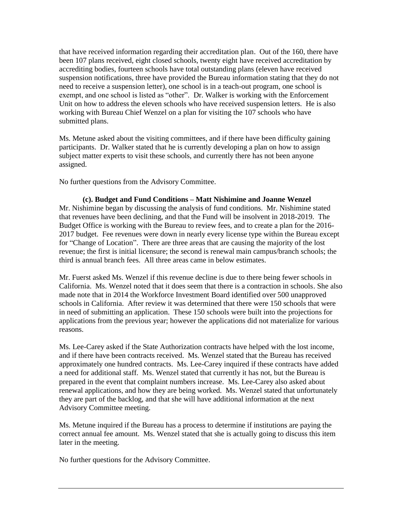that have received information regarding their accreditation plan. Out of the 160, there have been 107 plans received, eight closed schools, twenty eight have received accreditation by accrediting bodies, fourteen schools have total outstanding plans (eleven have received suspension notifications, three have provided the Bureau information stating that they do not need to receive a suspension letter), one school is in a teach-out program, one school is exempt, and one school is listed as "other". Dr. Walker is working with the Enforcement Unit on how to address the eleven schools who have received suspension letters. He is also working with Bureau Chief Wenzel on a plan for visiting the 107 schools who have submitted plans.

Ms. Metune asked about the visiting committees, and if there have been difficulty gaining participants. Dr. Walker stated that he is currently developing a plan on how to assign subject matter experts to visit these schools, and currently there has not been anyone assigned.

No further questions from the Advisory Committee.

**(c). Budget and Fund Conditions – Matt Nishimine and Joanne Wenzel** Mr. Nishimine began by discussing the analysis of fund conditions. Mr. Nishimine stated that revenues have been declining, and that the Fund will be insolvent in 2018-2019. The Budget Office is working with the Bureau to review fees, and to create a plan for the 2016- 2017 budget. Fee revenues were down in nearly every license type within the Bureau except for "Change of Location". There are three areas that are causing the majority of the lost revenue; the first is initial licensure; the second is renewal main campus/branch schools; the third is annual branch fees. All three areas came in below estimates.

Mr. Fuerst asked Ms. Wenzel if this revenue decline is due to there being fewer schools in California. Ms. Wenzel noted that it does seem that there is a contraction in schools. She also made note that in 2014 the Workforce Investment Board identified over 500 unapproved schools in California. After review it was determined that there were 150 schools that were in need of submitting an application. These 150 schools were built into the projections for applications from the previous year; however the applications did not materialize for various reasons.

Ms. Lee-Carey asked if the State Authorization contracts have helped with the lost income, and if there have been contracts received. Ms. Wenzel stated that the Bureau has received approximately one hundred contracts. Ms. Lee-Carey inquired if these contracts have added a need for additional staff. Ms. Wenzel stated that currently it has not, but the Bureau is prepared in the event that complaint numbers increase. Ms. Lee-Carey also asked about renewal applications, and how they are being worked. Ms. Wenzel stated that unfortunately they are part of the backlog, and that she will have additional information at the next Advisory Committee meeting.

Ms. Metune inquired if the Bureau has a process to determine if institutions are paying the correct annual fee amount. Ms. Wenzel stated that she is actually going to discuss this item later in the meeting.

No further questions for the Advisory Committee.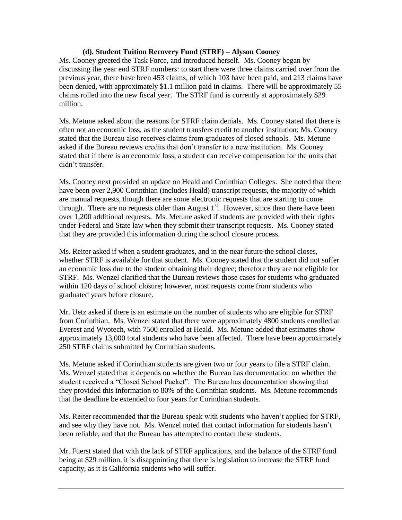### **(d). Student Tuition Recovery Fund (STRF) – Alyson Cooney**

Ms. Cooney greeted the Task Force, and introduced herself. Ms. Cooney began by discussing the year end STRF numbers: to start there were three claims carried over from the previous year, there have been 453 claims, of which 103 have been paid, and 213 claims have been denied, with approximately \$1.1 million paid in claims. There will be approximately 55 claims rolled into the new fiscal year. The STRF fund is currently at approximately \$29 million.

Ms. Metune asked about the reasons for STRF claim denials. Ms. Cooney stated that there is often not an economic loss, as the student transfers credit to another institution; Ms. Cooney stated that the Bureau also receives claims from graduates of closed schools. Ms. Metune asked if the Bureau reviews credits that don't transfer to a new institution. Ms. Cooney stated that if there is an economic loss, a student can receive compensation for the units that didn't transfer.

Ms. Cooney next provided an update on Heald and Corinthian Colleges. She noted that there have been over 2,900 Corinthian (includes Heald) transcript requests, the majority of which are manual requests, though there are some electronic requests that are starting to come through. There are no requests older than August  $1<sup>st</sup>$ . However, since then there have been over 1,200 additional requests. Ms. Metune asked if students are provided with their rights under Federal and State law when they submit their transcript requests. Ms. Cooney stated that they are provided this information during the school closure process.

Ms. Reiter asked if when a student graduates, and in the near future the school closes, whether STRF is available for that student. Ms. Cooney stated that the student did not suffer an economic loss due to the student obtaining their degree; therefore they are not eligible for STRF. Ms. Wenzel clarified that the Bureau reviews those cases for students who graduated within 120 days of school closure; however, most requests come from students who graduated years before closure.

Mr. Uetz asked if there is an estimate on the number of students who are eligible for STRF from Corinthian. Ms. Wenzel stated that there were approximately 4800 students enrolled at Everest and Wyotech, with 7500 enrolled at Heald. Ms. Metune added that estimates show approximately 13,000 total students who have been affected. There have been approximately 250 STRF claims submitted by Corinthian students.

Ms. Metune asked if Corinthian students are given two or four years to file a STRF claim. Ms. Wenzel stated that it depends on whether the Bureau has documentation on whether the student received a "Closed School Packet". The Bureau has documentation showing that they provided this information to 80% of the Corinthian students. Ms. Metune recommends that the deadline be extended to four years for Corinthian students.

Ms. Reiter recommended that the Bureau speak with students who haven't applied for STRF, and see why they have not. Ms. Wenzel noted that contact information for students hasn't been reliable, and that the Bureau has attempted to contact these students.

Mr. Fuerst stated that with the lack of STRF applications, and the balance of the STRF fund being at \$29 million, it is disappointing that there is legislation to increase the STRF fund capacity, as it is California students who will suffer.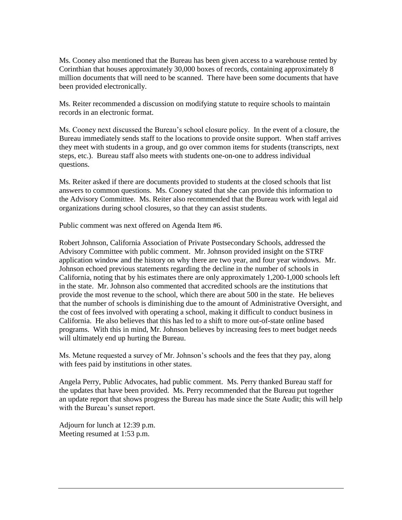Ms. Cooney also mentioned that the Bureau has been given access to a warehouse rented by Corinthian that houses approximately 30,000 boxes of records, containing approximately 8 million documents that will need to be scanned. There have been some documents that have been provided electronically.

Ms. Reiter recommended a discussion on modifying statute to require schools to maintain records in an electronic format.

Ms. Cooney next discussed the Bureau's school closure policy. In the event of a closure, the Bureau immediately sends staff to the locations to provide onsite support. When staff arrives they meet with students in a group, and go over common items for students (transcripts, next steps, etc.). Bureau staff also meets with students one-on-one to address individual questions.

Ms. Reiter asked if there are documents provided to students at the closed schools that list answers to common questions. Ms. Cooney stated that she can provide this information to the Advisory Committee. Ms. Reiter also recommended that the Bureau work with legal aid organizations during school closures, so that they can assist students.

Public comment was next offered on Agenda Item #6.

Robert Johnson, California Association of Private Postsecondary Schools, addressed the Advisory Committee with public comment. Mr. Johnson provided insight on the STRF application window and the history on why there are two year, and four year windows. Mr. Johnson echoed previous statements regarding the decline in the number of schools in California, noting that by his estimates there are only approximately 1,200-1,000 schools left in the state. Mr. Johnson also commented that accredited schools are the institutions that provide the most revenue to the school, which there are about 500 in the state. He believes that the number of schools is diminishing due to the amount of Administrative Oversight, and the cost of fees involved with operating a school, making it difficult to conduct business in California. He also believes that this has led to a shift to more out-of-state online based programs. With this in mind, Mr. Johnson believes by increasing fees to meet budget needs will ultimately end up hurting the Bureau.

Ms. Metune requested a survey of Mr. Johnson's schools and the fees that they pay, along with fees paid by institutions in other states.

Angela Perry, Public Advocates, had public comment. Ms. Perry thanked Bureau staff for the updates that have been provided. Ms. Perry recommended that the Bureau put together an update report that shows progress the Bureau has made since the State Audit; this will help with the Bureau's sunset report.

Adjourn for lunch at 12:39 p.m. Meeting resumed at 1:53 p.m.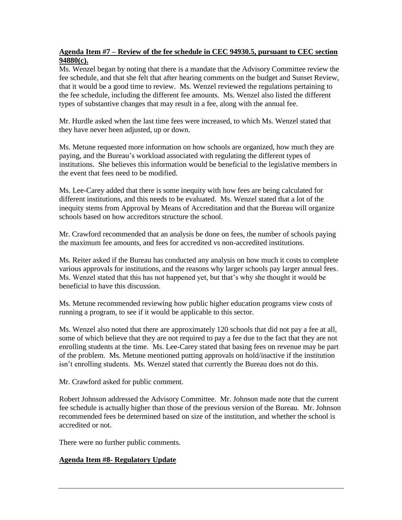# **Agenda Item #7 – Review of the fee schedule in CEC 94930.5, pursuant to CEC section 94880(c).**

Ms. Wenzel began by noting that there is a mandate that the Advisory Committee review the fee schedule, and that she felt that after hearing comments on the budget and Sunset Review, that it would be a good time to review. Ms. Wenzel reviewed the regulations pertaining to the fee schedule, including the different fee amounts. Ms. Wenzel also listed the different types of substantive changes that may result in a fee, along with the annual fee.

Mr. Hurdle asked when the last time fees were increased, to which Ms. Wenzel stated that they have never been adjusted, up or down.

Ms. Metune requested more information on how schools are organized, how much they are paying, and the Bureau's workload associated with regulating the different types of institutions. She believes this information would be beneficial to the legislative members in the event that fees need to be modified.

Ms. Lee-Carey added that there is some inequity with how fees are being calculated for different institutions, and this needs to be evaluated. Ms. Wenzel stated that a lot of the inequity stems from Approval by Means of Accreditation and that the Bureau will organize schools based on how accreditors structure the school.

Mr. Crawford recommended that an analysis be done on fees, the number of schools paying the maximum fee amounts, and fees for accredited vs non-accredited institutions.

Ms. Reiter asked if the Bureau has conducted any analysis on how much it costs to complete various approvals for institutions, and the reasons why larger schools pay larger annual fees. Ms. Wenzel stated that this has not happened yet, but that's why she thought it would be beneficial to have this discussion.

Ms. Metune recommended reviewing how public higher education programs view costs of running a program, to see if it would be applicable to this sector.

Ms. Wenzel also noted that there are approximately 120 schools that did not pay a fee at all, some of which believe that they are not required to pay a fee due to the fact that they are not enrolling students at the time. Ms. Lee-Carey stated that basing fees on revenue may be part of the problem. Ms. Metune mentioned putting approvals on hold/inactive if the institution isn't enrolling students. Ms. Wenzel stated that currently the Bureau does not do this.

Mr. Crawford asked for public comment.

Robert Johnson addressed the Advisory Committee. Mr. Johnson made note that the current fee schedule is actually higher than those of the previous version of the Bureau. Mr. Johnson recommended fees be determined based on size of the institution, and whether the school is accredited or not.

There were no further public comments.

# **Agenda Item #8- Regulatory Update**